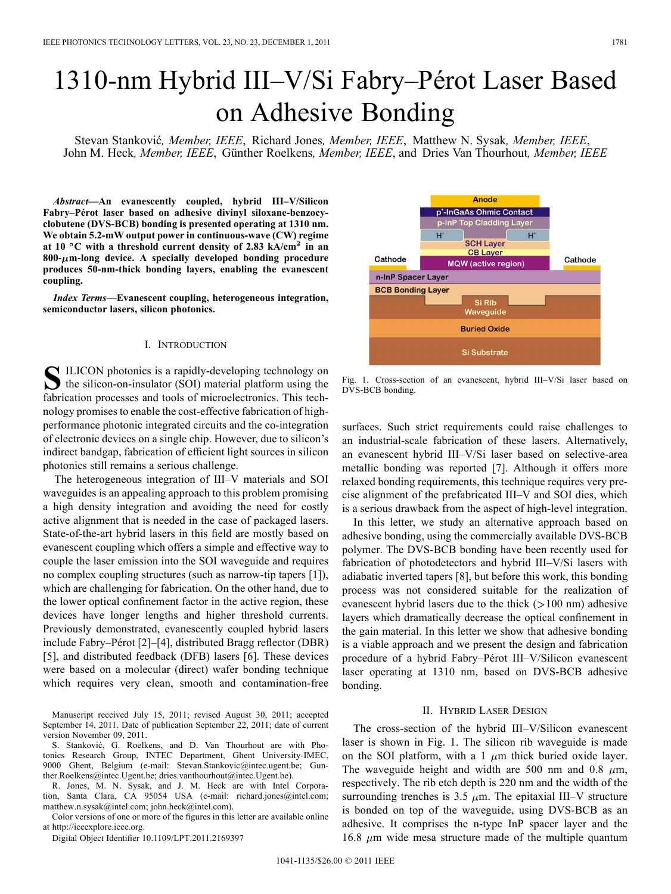# 1310-nm Hybrid III–V/Si Fabry–Pérot Laser Based on Adhesive Bonding

Stevan Stanković, Member, IEEE, Richard Jones, Member, IEEE, Matthew N. Sysak, Member, IEEE, John M. Heck, Member, IEEE, Günther Roelkens, Member, IEEE, and Dries Van Thourhout, Member, IEEE

*Abstract—***An evanescently coupled, hybrid III–V/Silicon Fabry–Pérot laser based on adhesive divinyl siloxane-benzocyclobutene (DVS-BCB) bonding is presented operating at 1310 nm. We obtain 5.2-mW output power in continuous-wave (CW) regime** at  $10^{\circ}$ C with a threshold current density of 2.83 kA/cm<sup>2</sup> in an **800- m-long device. A specially developed bonding procedure produces 50-nm-thick bonding layers, enabling the evanescent coupling.**

*Index Terms—***Evanescent coupling, heterogeneous integration, semiconductor lasers, silicon photonics.**

#### I. INTRODUCTION

S ILICON photonics is a rapidly-developing technology on the silicon-on-insulator (SOI) material platform using the fabrication processes and tools of microelectronics. This technology promises to enable the cost-effective fabrication of highperformance photonic integrated circuits and the co-integration of electronic devices on a single chip. However, due to silicon's indirect bandgap, fabrication of efficient light sources in silicon photonics still remains a serious challenge.

The heterogeneous integration of III–V materials and SOI waveguides is an appealing approach to this problem promising a high density integration and avoiding the need for costly active alignment that is needed in the case of packaged lasers. State-of-the-art hybrid lasers in this field are mostly based on evanescent coupling which offers a simple and effective way to couple the laser emission into the SOI waveguide and requires no complex coupling structures (such as narrow-tip tapers [1]), which are challenging for fabrication. On the other hand, due to the lower optical confinement factor in the active region, these devices have longer lengths and higher threshold currents. Previously demonstrated, evanescently coupled hybrid lasers include Fabry–Pérot [2]–[4], distributed Bragg reflector (DBR) [5], and distributed feedback (DFB) lasers [6]. These devices were based on a molecular (direct) wafer bonding technique which requires very clean, smooth and contamination-free

Manuscript received July 15, 2011; revised August 30, 2011; accepted September 14, 2011. Date of publication September 22, 2011; date of current version November 09, 2011.

S. Stanković, G. Roelkens, and D. Van Thourhout are with Photonics Research Group, INTEC Department, Ghent University-IMEC, 9000 Ghent, Belgium (e-mail: Stevan.Stankovic@intec.ugent.be; Gunther.Roelkens@intec.Ugent.be; dries.vanthourhout@intec.Ugent.be).

R. Jones, M. N. Sysak, and J. M. Heck are with Intel Corporation, Santa Clara, CA 95054 USA (e-mail: richard.jones@intel.com; matthew.n.sysak@intel.com; john.heck@intel.com).

Color versions of one or more of the figures in this letter are available online at http://ieeexplore.ieee.org.

Digital Object Identifier 10.1109/LPT.2011.2169397



Fig. 1. Cross-section of an evanescent, hybrid III–V/Si laser based on DVS-BCB bonding.

surfaces. Such strict requirements could raise challenges to an industrial-scale fabrication of these lasers. Alternatively, an evanescent hybrid III–V/Si laser based on selective-area metallic bonding was reported [7]. Although it offers more relaxed bonding requirements, this technique requires very precise alignment of the prefabricated III–V and SOI dies, which is a serious drawback from the aspect of high-level integration.

In this letter, we study an alternative approach based on adhesive bonding, using the commercially available DVS-BCB polymer. The DVS-BCB bonding have been recently used for fabrication of photodetectors and hybrid III–V/Si lasers with adiabatic inverted tapers [8], but before this work, this bonding process was not considered suitable for the realization of evanescent hybrid lasers due to the thick  $(>100 \text{ nm})$  adhesive layers which dramatically decrease the optical confinement in the gain material. In this letter we show that adhesive bonding is a viable approach and we present the design and fabrication procedure of a hybrid Fabry–Pérot III–V/Silicon evanescent laser operating at 1310 nm, based on DVS-BCB adhesive bonding.

# II. HYBRID LASER DESIGN

The cross-section of the hybrid III–V/Silicon evanescent laser is shown in Fig. 1. The silicon rib waveguide is made on the SOI platform, with a 1  $\mu$ m thick buried oxide layer. The waveguide height and width are 500 nm and 0.8  $\mu$ m, respectively. The rib etch depth is 220 nm and the width of the surrounding trenches is 3.5  $\mu$ m. The epitaxial III–V structure is bonded on top of the waveguide, using DVS-BCB as an adhesive. It comprises the n-type InP spacer layer and the 16.8  $\mu$ m wide mesa structure made of the multiple quantum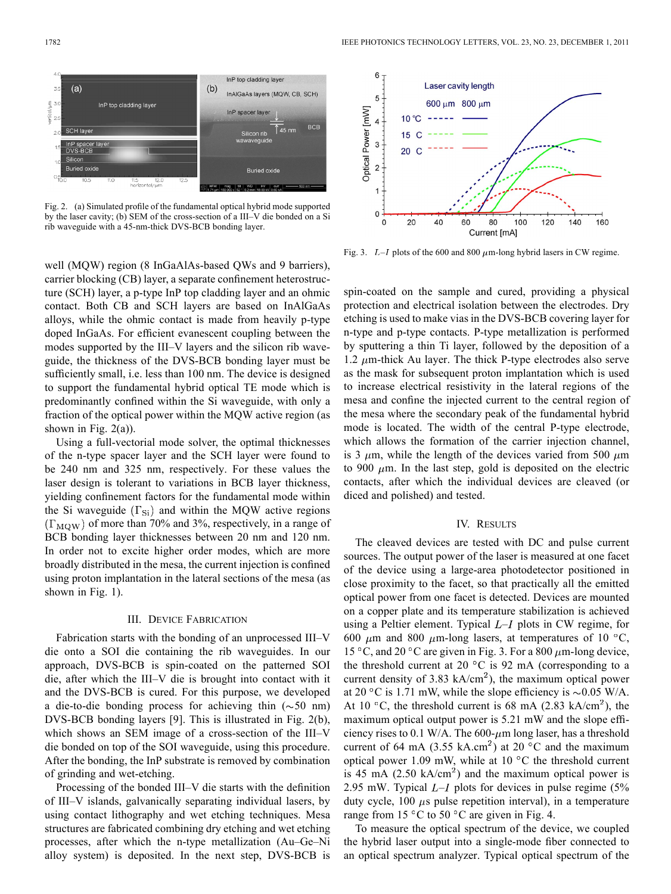

Fig. 2. (a) Simulated profile of the fundamental optical hybrid mode supported by the laser cavity; (b) SEM of the cross-section of a III–V die bonded on a Si rib waveguide with a 45-nm-thick DVS-BCB bonding layer.

well (MQW) region (8 InGaAlAs-based QWs and 9 barriers), carrier blocking (CB) layer, a separate confinement heterostructure (SCH) layer, a p-type InP top cladding layer and an ohmic contact. Both CB and SCH layers are based on InAlGaAs alloys, while the ohmic contact is made from heavily p-type doped InGaAs. For efficient evanescent coupling between the modes supported by the III–V layers and the silicon rib waveguide, the thickness of the DVS-BCB bonding layer must be sufficiently small, i.e. less than 100 nm. The device is designed to support the fundamental hybrid optical TE mode which is predominantly confined within the Si waveguide, with only a fraction of the optical power within the MQW active region (as shown in Fig.  $2(a)$ ).

Using a full-vectorial mode solver, the optimal thicknesses of the n-type spacer layer and the SCH layer were found to be 240 nm and 325 nm, respectively. For these values the laser design is tolerant to variations in BCB layer thickness, yielding confinement factors for the fundamental mode within the Si waveguide  $(\Gamma_{Si})$  and within the MQW active regions  $(\Gamma_{\text{MOW}})$  of more than 70% and 3%, respectively, in a range of BCB bonding layer thicknesses between 20 nm and 120 nm. In order not to excite higher order modes, which are more broadly distributed in the mesa, the current injection is confined using proton implantation in the lateral sections of the mesa (as shown in Fig. 1).

#### III. DEVICE FABRICATION

Fabrication starts with the bonding of an unprocessed III–V die onto a SOI die containing the rib waveguides. In our approach, DVS-BCB is spin-coated on the patterned SOI die, after which the III–V die is brought into contact with it and the DVS-BCB is cured. For this purpose, we developed a die-to-die bonding process for achieving thin  $(\sim 50 \text{ nm})$ DVS-BCB bonding layers [9]. This is illustrated in Fig. 2(b), which shows an SEM image of a cross-section of the III–V die bonded on top of the SOI waveguide, using this procedure. After the bonding, the InP substrate is removed by combination of grinding and wet-etching.

Processing of the bonded III–V die starts with the definition of III–V islands, galvanically separating individual lasers, by using contact lithography and wet etching techniques. Mesa structures are fabricated combining dry etching and wet etching processes, after which the n-type metallization (Au–Ge–Ni alloy system) is deposited. In the next step, DVS-BCB is



Fig. 3.  $L-I$  plots of the 600 and 800  $\mu$ m-long hybrid lasers in CW regime.

spin-coated on the sample and cured, providing a physical protection and electrical isolation between the electrodes. Dry etching is used to make vias in the DVS-BCB covering layer for n-type and p-type contacts. P-type metallization is performed by sputtering a thin Ti layer, followed by the deposition of a 1.2  $\mu$ m-thick Au layer. The thick P-type electrodes also serve as the mask for subsequent proton implantation which is used to increase electrical resistivity in the lateral regions of the mesa and confine the injected current to the central region of the mesa where the secondary peak of the fundamental hybrid mode is located. The width of the central P-type electrode, which allows the formation of the carrier injection channel, is 3  $\mu$ m, while the length of the devices varied from 500  $\mu$ m to 900  $\mu$ m. In the last step, gold is deposited on the electric contacts, after which the individual devices are cleaved (or diced and polished) and tested.

# IV. RESULTS

The cleaved devices are tested with DC and pulse current sources. The output power of the laser is measured at one facet of the device using a large-area photodetector positioned in close proximity to the facet, so that practically all the emitted optical power from one facet is detected. Devices are mounted on a copper plate and its temperature stabilization is achieved using a Peltier element. Typical  $L-I$  plots in CW regime, for 600  $\mu$ m and 800  $\mu$ m-long lasers, at temperatures of 10 °C, 15 °C, and 20 °C are given in Fig. 3. For a 800  $\mu$ m-long device, the threshold current at 20 $\degree$ C is 92 mA (corresponding to a current density of 3.83 kA/cm<sup>2</sup>), the maximum optical power at 20 °C is 1.71 mW, while the slope efficiency is  $\sim 0.05$  W/A. At 10 °C, the threshold current is 68 mA (2.83 kA/cm<sup>2</sup>), the maximum optical output power is 5.21 mW and the slope efficiency rises to 0.1 W/A. The  $600-\mu m$  long laser, has a threshold current of 64 mA (3.55 kA.cm<sup>2</sup>) at 20 °C and the maximum optical power 1.09 mW, while at 10  $\degree$ C the threshold current is 45 mA (2.50 kA/cm<sup>2</sup>) and the maximum optical power is 2.95 mW. Typical  $L-I$  plots for devices in pulse regime (5%) duty cycle, 100  $\mu$ s pulse repetition interval), in a temperature range from 15 °C to 50 °C are given in Fig. 4.

To measure the optical spectrum of the device, we coupled the hybrid laser output into a single-mode fiber connected to an optical spectrum analyzer. Typical optical spectrum of the